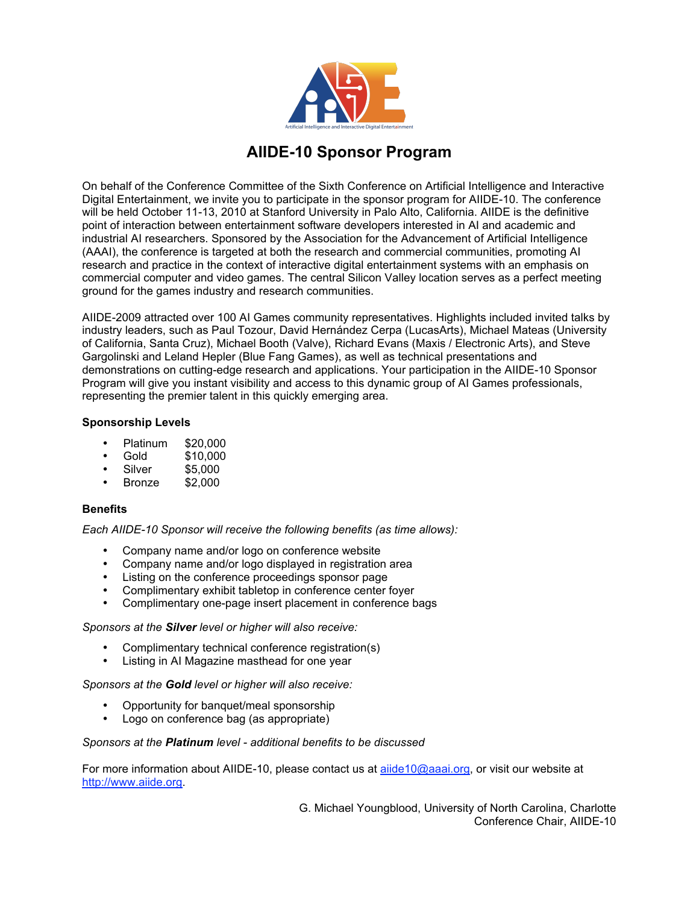

## **AIIDE-10 Sponsor Program**

On behalf of the Conference Committee of the Sixth Conference on Artificial Intelligence and Interactive Digital Entertainment, we invite you to participate in the sponsor program for AIIDE-10. The conference will be held October 11-13, 2010 at Stanford University in Palo Alto, California. AIIDE is the definitive point of interaction between entertainment software developers interested in AI and academic and industrial AI researchers. Sponsored by the Association for the Advancement of Artificial Intelligence (AAAI), the conference is targeted at both the research and commercial communities, promoting AI research and practice in the context of interactive digital entertainment systems with an emphasis on commercial computer and video games. The central Silicon Valley location serves as a perfect meeting ground for the games industry and research communities.

AIIDE-2009 attracted over 100 AI Games community representatives. Highlights included invited talks by industry leaders, such as Paul Tozour, David Hernández Cerpa (LucasArts), Michael Mateas (University of California, Santa Cruz), Michael Booth (Valve), Richard Evans (Maxis / Electronic Arts), and Steve Gargolinski and Leland Hepler (Blue Fang Games), as well as technical presentations and demonstrations on cutting-edge research and applications. Your participation in the AIIDE-10 Sponsor Program will give you instant visibility and access to this dynamic group of AI Games professionals, representing the premier talent in this quickly emerging area.

### **Sponsorship Levels**

- Platinum \$20,000
- Gold \$10,000
- $$5,000$ <br> $$2,000$
- **Bronze**

#### **Benefits**

*Each AIIDE-10 Sponsor will receive the following benefits (as time allows):*

- Company name and/or logo on conference website
- Company name and/or logo displayed in registration area
- Listing on the conference proceedings sponsor page
- Complimentary exhibit tabletop in conference center foyer
- Complimentary one-page insert placement in conference bags

#### *Sponsors at the Silver level or higher will also receive:*

- Complimentary technical conference registration(s)
- Listing in AI Magazine masthead for one year

*Sponsors at the Gold level or higher will also receive:*

- Opportunity for banquet/meal sponsorship
- Logo on conference bag (as appropriate)

#### *Sponsors at the Platinum level - additional benefits to be discussed*

For more information about AIIDE-10, please contact us at aiide10@aaai.org, or visit our website at http://www.aiide.org.

> G. Michael Youngblood, University of North Carolina, Charlotte Conference Chair, AIIDE-10